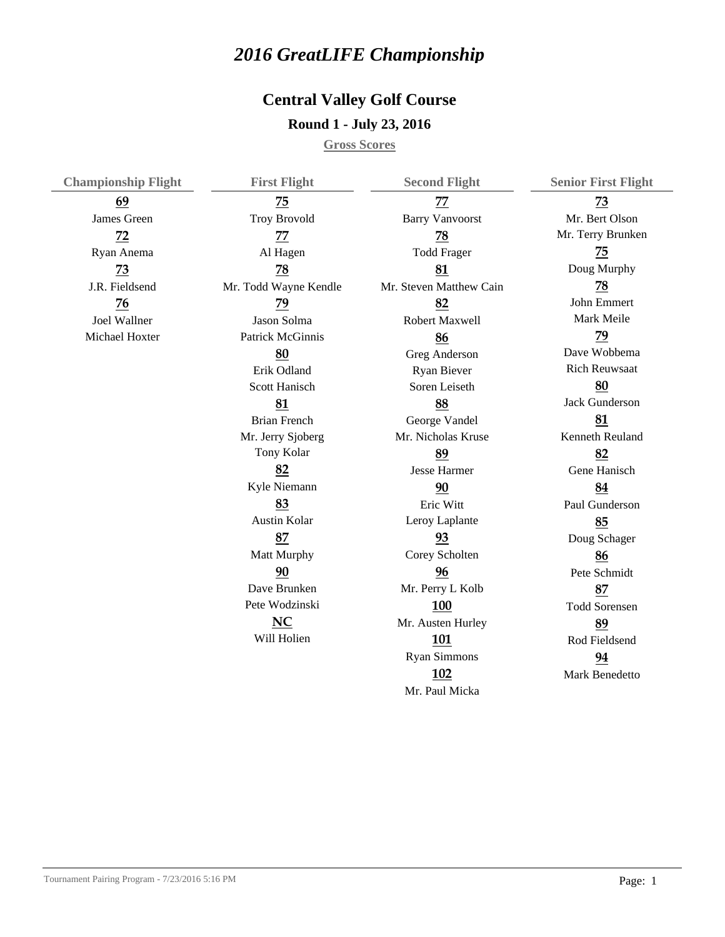## *2016 GreatLIFE Championship*

## **Round 1 - July 23, 2016 Central Valley Golf Course**

**Gross Scores**

| <b>Championship Flight</b> | <b>First Flight</b>     | <b>Second Flight</b>    | <b>Senior First Flight</b> |
|----------------------------|-------------------------|-------------------------|----------------------------|
| 69                         | 75                      | 77                      | 73                         |
| James Green                | <b>Troy Brovold</b>     | <b>Barry Vanvoorst</b>  | Mr. Bert Olson             |
| 72                         | 77                      | 78                      | Mr. Terry Brunken          |
| Ryan Anema                 | Al Hagen                | <b>Todd Frager</b>      | $\overline{75}$            |
| 73                         | 78                      | 81                      | Doug Murphy                |
| J.R. Fieldsend             | Mr. Todd Wayne Kendle   | Mr. Steven Matthew Cain | $\overline{78}$            |
| 76                         | 79                      | 82                      | John Emmert                |
| Joel Wallner               | Jason Solma             | Robert Maxwell          | Mark Meile                 |
| Michael Hoxter             | <b>Patrick McGinnis</b> | 86                      | 79                         |
|                            | 80                      | Greg Anderson           | Dave Wobbema               |
|                            | Erik Odland             | Ryan Biever             | <b>Rich Reuwsaat</b>       |
|                            | Scott Hanisch           | Soren Leiseth           | 80                         |
|                            | 81                      | 88                      | <b>Jack Gunderson</b>      |
|                            | <b>Brian French</b>     | George Vandel           | 81                         |
|                            | Mr. Jerry Sjoberg       | Mr. Nicholas Kruse      | Kenneth Reuland            |
|                            | Tony Kolar              | 89                      | 82                         |
|                            | 82                      | <b>Jesse Harmer</b>     | Gene Hanisch               |
|                            | Kyle Niemann            | 90                      | 84                         |
|                            | 83                      | Eric Witt               | Paul Gunderson             |
|                            | Austin Kolar            | Leroy Laplante          | 85                         |
|                            | 87                      | 93                      | Doug Schager               |
|                            | Matt Murphy             | Corey Scholten          | 86                         |
|                            | 90                      | 96                      | Pete Schmidt               |
|                            | Dave Brunken            | Mr. Perry L Kolb        | 87                         |
|                            | Pete Wodzinski          | 100                     | <b>Todd Sorensen</b>       |
|                            | NC                      | Mr. Austen Hurley       | 89                         |
|                            | Will Holien             | 101                     | Rod Fieldsend              |
|                            |                         | <b>Ryan Simmons</b>     | 94                         |
|                            |                         | 102                     | Mark Benedetto             |
|                            |                         | Mr. Paul Micka          |                            |